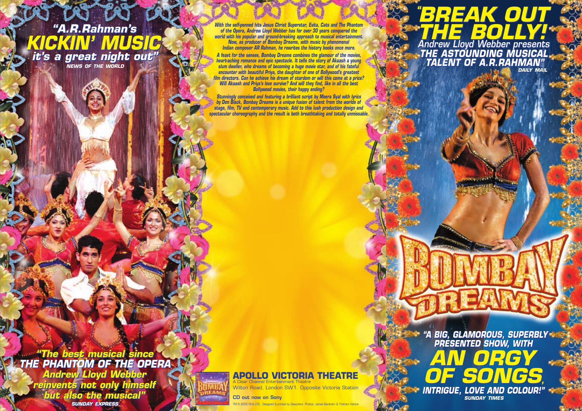**"A.R.Rahman's KICKIN' MUSIC it's a great night out" "A.R.Rahman's KICKIN' MUSIC it's a great night out" NEWS OF THE WORLD**

**With the self-penned hits Jesus Christ Superstar, Evita, Cats and The Phantom of the Opera, Andrew Lloyd Webber has for over 30 years conquered the world with his popular and ground-breaking approach to musical entertainment. Now, as producer of Bombay Dreams, with music by phenomenal Indian composer AR Rahman, he rewrites the history books once more.**

**A feast for the senses, Bombay Dreams combines the glamour of the movies, heart-aching romance and epic spectacle. It tells the story of Akaash a young slum dweller, who dreams of becoming a huge movie star, and of his fateful encounter with beautiful Priya, the daughter of one of Bollywood's greatest film directors. Can he achieve his dream of stardom or will this come at a price? Will Akaash and Priya's love survive? And will they find, like in all the best Bollywood movies, their happy ending?** 

**Stunningly conceived and featuring a brilliant script by Meera Syal with Ivrics by Don Black, Bombay Dreams is a unique fusion of talent from the worlds of stage, film, TV and contemporary music. Add to this lush production design and spectacular choreography and the result is both breathtaking and totally unmissable.**

**THE BOLLY! Andrew Lloyd Webber presents THE ASTOUNDING MUSICAL TALENT OF A.R.RAHMAN" THE BOLLY! Andrew Lloyd Webber presents THE ASTOUNDING MUSICAL TALENT OF A.R.RAHMAN" DAILY MAIL**

 $^{\circ}$ BREAK OUT

**BREAK OUT** 

**"**

**"The best musical since "The best musical since THE PHANTOM OF THE OPERA THE PHANTOM OF THE OPERA Andrew Lloyd Webber Andrew Lloyd Webber** 

**reinvents not only himself reinvents not only himself but also the musical" SUNDAY EXPRESS but also the musical" SUNDAY EXPRESS**



## **APOLLO VICTORIA THEATRE** A Clear Channel Entertainment Theatre

Wilton Road, London SW1. Opposite Victoria Station

**CD out now on Sony** 2002 RUG LTD. Designed & printed by Dewynters Photos: James Bareham & Tristram Kenton

**"A BIG, GLAMOROUS, SUPERBLY PRESENTED SHOW, WITH "A BIG, GLAMOROUS, SUPERBLY PRESENTED SHOW, WITH** 



**SUNDAY TIMES**